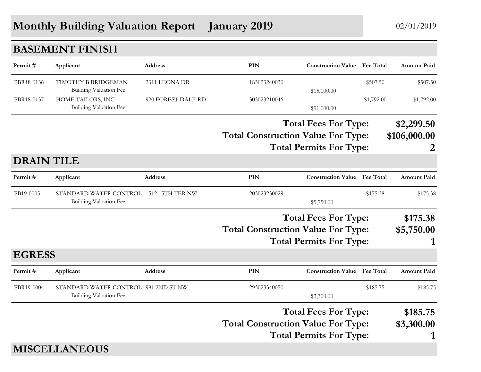## **Monthly Building Valuation Report** January 2019 02/01/2019

|                   | <b>BASEMENT FINISH</b>                                                   |                    |                                                                                                            |                                     |                             |                                 |
|-------------------|--------------------------------------------------------------------------|--------------------|------------------------------------------------------------------------------------------------------------|-------------------------------------|-----------------------------|---------------------------------|
| Permit#           | Applicant                                                                | <b>Address</b>     | <b>PIN</b>                                                                                                 | <b>Construction Value</b> Fee Total |                             | <b>Amount Paid</b>              |
| PBR18-0136        | TIMOTHY B BRIDGEMAN<br><b>Building Valuation Fee</b>                     | 2311 LEONA DR      | 183023240030                                                                                               | \$15,000.00                         | \$507.50                    | \$507.50                        |
| PBR18-0137        | HOME TAILORS, INC.<br>Building Valuation Fee                             | 920 FOREST DALE RD | 303023210046                                                                                               | \$91,000.00                         | \$1,792.00                  | \$1,792.00                      |
|                   |                                                                          |                    | <b>Total Fees For Type:</b><br><b>Total Construction Value For Type:</b><br><b>Total Permits For Type:</b> |                                     |                             | \$2,299.50<br>\$106,000.00<br>2 |
| <b>DRAIN TILE</b> |                                                                          |                    |                                                                                                            |                                     |                             |                                 |
| Permit#           | Applicant                                                                | <b>Address</b>     | <b>PIN</b>                                                                                                 | <b>Construction Value Fee Total</b> |                             | Amount Paid                     |
| PB19-0005         | STANDARD WATER CONTROL 1512 15TH TER NW<br><b>Building Valuation Fee</b> |                    | 203023230029                                                                                               | \$5,750.00                          | \$175.38                    | \$175.38                        |
|                   |                                                                          |                    | <b>Total Fees For Type:</b><br><b>Total Construction Value For Type:</b><br><b>Total Permits For Type:</b> |                                     |                             | \$175.38<br>\$5,750.00<br>1     |
| <b>EGRESS</b>     |                                                                          |                    |                                                                                                            |                                     |                             |                                 |
| Permit#           | Applicant                                                                | <b>Address</b>     | <b>PIN</b>                                                                                                 | <b>Construction Value</b> Fee Total |                             | <b>Amount Paid</b>              |
| PBR19-0004        | STANDARD WATER CONTROL 981 2ND ST NW<br><b>Building Valuation Fee</b>    |                    | 293023340050                                                                                               | \$3,300.00                          | \$185.75                    | \$185.75                        |
|                   |                                                                          |                    | <b>Total Fees For Type:</b><br><b>Total Construction Value For Type:</b><br><b>Total Permits For Type:</b> |                                     | \$185.75<br>\$3,300.00<br>1 |                                 |
|                   | <b>MISCELLANEOUS</b>                                                     |                    |                                                                                                            |                                     |                             |                                 |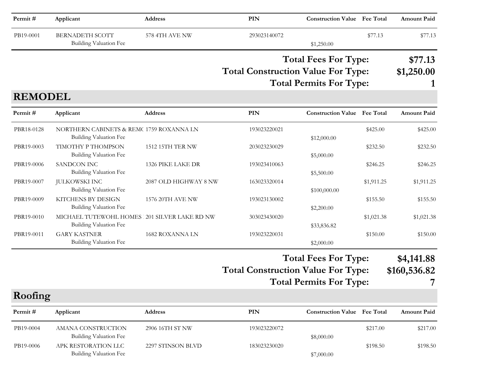| Permit#        | Applicant                                                                | Address               | <b>PIN</b>                                                                                                 | <b>Construction Value</b> Fee Total |            | <b>Amount Paid</b>    |
|----------------|--------------------------------------------------------------------------|-----------------------|------------------------------------------------------------------------------------------------------------|-------------------------------------|------------|-----------------------|
| PB19-0001      | <b>BERNADETH SCOTT</b><br><b>Building Valuation Fee</b>                  | 578 4TH AVE NW        | 293023140072                                                                                               | \$1,250.00                          | \$77.13    | \$77.13               |
|                |                                                                          |                       | <b>Total Fees For Type:</b><br><b>Total Construction Value For Type:</b><br><b>Total Permits For Type:</b> |                                     |            | \$77.13<br>\$1,250.00 |
| <b>REMODEL</b> |                                                                          |                       |                                                                                                            |                                     |            |                       |
| Permit#        | Applicant                                                                | Address               | <b>PIN</b>                                                                                                 | <b>Construction Value Fee Total</b> |            | <b>Amount Paid</b>    |
| PBR18-0128     | NORTHERN CABINETS & REM(1759 ROXANNA LN<br><b>Building Valuation Fee</b> |                       | 193023220021                                                                                               | \$12,000.00                         | \$425.00   | \$425.00              |
| PBR19-0003     | TIMOTHY P THOMPSON<br><b>Building Valuation Fee</b>                      | 1512 15TH TER NW      | 203023230029                                                                                               | \$5,000.00                          | \$232.50   | \$232.50              |
| PBR19-0006     | <b>SANDCON INC</b><br><b>Building Valuation Fee</b>                      | 1326 PIKE LAKE DR     | 193023410063                                                                                               | \$5,500.00                          | \$246.25   | \$246.25              |
| PBR19-0007     | <b>JULKOWSKI INC</b><br>Building Valuation Fee                           | 2087 OLD HIGHWAY 8 NW | 163023320014                                                                                               | \$100,000.00                        | \$1,911.25 | \$1,911.25            |
| PBR19-0009     | KITCHENS BY DESIGN<br><b>Building Valuation Fee</b>                      | 1576 20TH AVE NW      | 193023130002                                                                                               | \$2,200.00                          | \$155.50   | \$155.50              |
| PBR19-0010     | MICHAEL TUTEWOHL HOMES 201 SILVER LAKE RD NW<br>Building Valuation Fee   |                       | 303023430020                                                                                               | \$33,836.82                         | \$1,021.38 | \$1,021.38            |
| PBR19-0011     | <b>GARY KASTNER</b><br>Building Valuation Fee                            | 1682 ROXANNA LN       | 193023220031                                                                                               | \$2,000.00                          | \$150.00   | \$150.00              |
|                |                                                                          |                       |                                                                                                            | <b>Total Fees For Type:</b>         |            | \$4,141.88            |
|                |                                                                          |                       | <b>Total Construction Value For Type:</b>                                                                  |                                     |            | \$160,536.82          |
|                |                                                                          |                       |                                                                                                            | <b>Total Permits For Type:</b>      |            | 7                     |
| Roofing        |                                                                          |                       |                                                                                                            |                                     |            |                       |
| Permit#        | Applicant                                                                | Address               | PIN                                                                                                        | <b>Construction Value</b> Fee Total |            | <b>Amount Paid</b>    |
| PB19-0004      | AMANA CONSTRUCTION<br><b>Building Valuation Fee</b>                      | 2906 16TH ST NW       | 193023220072                                                                                               | \$8,000.00                          | \$217.00   | \$217.00              |
| PB19-0006      | APK RESTORATION LLC<br><b>Building Valuation Fee</b>                     | 2297 STINSON BLVD     | 183023230020                                                                                               | \$7,000.00                          | \$198.50   | \$198.50              |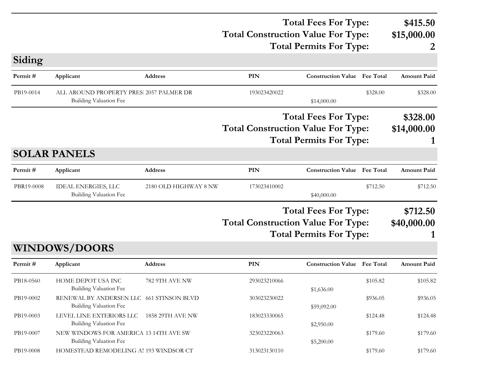### **Total Construction Value For Type: \$15,000.00 Total Fees For Type: \$415.50 Total Permits For Type: 2**

**PIN Construction Value Permit # Applicant Address Fee Total Amount Paid** PB19-0014 ALL AROUND PROPERTY PRES. 2057 PALMER DR 193023420022 \$328.00 \$328.00 \$328.00 Building Valuation Fee  $$14,000.00$ **Total Construction Value For Type: \$14,000.00 Total Fees For Type: \$328.00 Total Permits For Type: 1**

#### **SOLAR PANELS**

**Siding**

| Permit #   | Applicant                                     | <b>Address</b>        | PIN                                       | <b>Construction Value</b> Fee Total                           |          | <b>Amount Paid</b>      |
|------------|-----------------------------------------------|-----------------------|-------------------------------------------|---------------------------------------------------------------|----------|-------------------------|
| PBR19-0008 | IDEAL ENERGIES, LLC<br>Building Valuation Fee | 2180 OLD HIGHWAY 8 NW | 173023410002                              | \$40,000.00                                                   | \$712.50 | \$712.50                |
|            |                                               |                       | <b>Total Construction Value For Type:</b> | <b>Total Fees For Type:</b><br><b>Total Permits For Type:</b> |          | \$712.50<br>\$40,000.00 |
|            | WINDOWS/DOORS                                 |                       |                                           |                                                               |          |                         |

| Permit#   | Applicant                                                          | <b>Address</b>          | PIN          | <b>Construction Value</b> | <b>Fee Total</b> | <b>Amount Paid</b> |
|-----------|--------------------------------------------------------------------|-------------------------|--------------|---------------------------|------------------|--------------------|
| PB18-0560 | HOME DEPOT USA INC<br>Building Valuation Fee                       | 782 9TH AVE NW          | 293023210066 | \$1,636.00                | \$105.82         | \$105.82           |
| PB19-0002 | RENEWAL BY ANDERSEN LLC 661 STINSON BLVD<br>Building Valuation Fee |                         | 303023230022 | \$59,092.00               | \$936.05         | \$936.05           |
| PB19-0003 | LEVEL LINE EXTERIORS LLC<br>Building Valuation Fee                 | <b>1858 29TH AVE NW</b> | 183023330065 | \$2,950.00                | \$124.48         | \$124.48           |
| PB19-0007 | NEW WINDOWS FOR AMERICA 13 14TH AVE SW<br>Building Valuation Fee   |                         | 323023220063 | \$5,200.00                | \$179.60         | \$179.60           |
| PB19-0008 | HOMESTEAD REMODELING AL193 WINDSOR CT                              |                         | 313023130110 |                           | \$179.60         | \$179.60           |